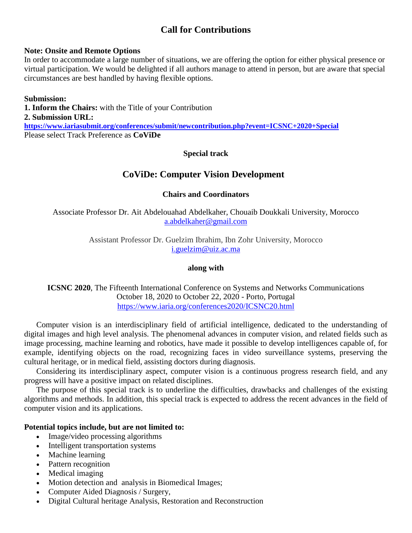# **Call for Contributions**

#### **Note: Onsite and Remote Options**

In order to accommodate a large number of situations, we are offering the option for either physical presence or virtual participation. We would be delighted if all authors manage to attend in person, but are aware that special circumstances are best handled by having flexible options.

**Submission: 1. Inform the Chairs:** with the Title of your Contribution **2. Submission URL: <https://www.iariasubmit.org/conferences/submit/newcontribution.php?event=ICSNC+2020+Special>** Please select Track Preference as **CoViDe**

## **Special track**

## **CoViDe: Computer Vision Development**

## **Chairs and Coordinators**

Associate Professor Dr. Ait Abdelouahad Abdelkaher, Chouaib Doukkali University, Morocco [a.abdelkaher@gmail.com](mailto:a.abdelkaher@gmail.com)

> Assistant Professor Dr. Guelzim Ibrahim, Ibn Zohr University, Morocco [i.guelzim@uiz.ac.ma](mailto:i.guelzim@uiz.ac.ma)

#### **along with**

**ICSNC 2020**, The Fifteenth International Conference on Systems and Networks Communications October 18, 2020 to October 22, 2020 - Porto, Portugal <https://www.iaria.org/conferences2020/ICSNC20.html>

Computer vision is an interdisciplinary field of artificial intelligence, dedicated to the understanding of digital images and high level analysis. The phenomenal advances in computer vision, and related fields such as image processing, machine learning and robotics, have made it possible to develop intelligences capable of, for example, identifying objects on the road, recognizing faces in video surveillance systems, preserving the cultural heritage, or in medical field, assisting doctors during diagnosis.

Considering its interdisciplinary aspect, computer vision is a continuous progress research field, and any progress will have a positive impact on related disciplines.

The purpose of this special track is to underline the difficulties, drawbacks and challenges of the existing algorithms and methods. In addition, this special track is expected to address the recent advances in the field of computer vision and its applications.

#### **Potential topics include, but are not limited to:**

- Image/video processing algorithms
- Intelligent transportation systems
- Machine learning
- Pattern recognition
- Medical imaging
- Motion detection and analysis in Biomedical Images;
- Computer Aided Diagnosis / Surgery,
- Digital Cultural heritage Analysis, Restoration and Reconstruction